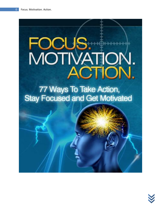# US. FOCUS. **ACTION**

77 Ways To Take Action, **Stay Focused and Get Motivated** 

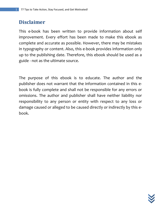# **Disclaimer**

This e-book has been written to provide information about self improvement. Every effort has been made to make this ebook as complete and accurate as possible. However, there may be mistakes in typography or content. Also, this e-book provides information only up to the publishing date. Therefore, this ebook should be used as a guide - not as the ultimate source.

The purpose of this ebook is to educate. The author and the publisher does not warrant that the information contained in this ebook is fully complete and shall not be responsible for any errors or omissions. The author and publisher shall have neither liability nor responsibility to any person or entity with respect to any loss or damage caused or alleged to be caused directly or indirectly by this ebook.

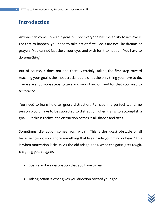# **Introduction**

Anyone can come up with a goal, but *not* everyone has the ability to achieve it. For that to happen, you need to take action first. Goals are not like dreams or prayers. You cannot just close your eyes and wish for it to happen. You have to *do something.*

But of course, it does not end there. Certainly, taking the first step toward reaching your goal is the most crucial but it is *not* the only thing you have to do. There are a lot more steps to take and work hard on, and for that you need to *be focused.* 

You need to learn how to ignore distraction. Perhaps in a perfect world, no person would have to be subjected to distraction when trying to accomplish a goal. But this is reality, and distraction comes in all shapes and sizes.

Sometimes, distraction comes from within. This is the *worst* obstacle of all because how do you ignore something that lives inside your mind or heart? This is when motivation kicks in. As the old adage goes, *when the going gets tough, the going gets tougher.*

- Goals are like a destination that you have to reach.
- Taking action is what gives you direction toward your goal.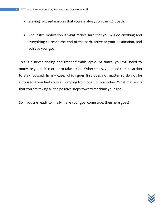- Staying focused ensures that you are always on the right path.
- And lastly, motivation is what makes sure that you will do anything and everything to reach the end of the path, arrive at your destination, and achieve your goal.

This is a never ending and rather flexible cycle. At times, you will need to motivate yourself in order to take action. Other times, you need to take action to stay focused. In any case, which goes first does not matter so do not be surprised if you find yourself jumping from one tip to another. What matters is that you are taking all the positive steps toward reaching your goal.

So if you are ready to finally make your goal come true, then here goes!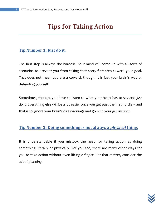# **Tips for Taking Action**

#### **Tip Number 1: Just do it.**

The first step is always the hardest. Your mind will come up with all sorts of scenarios to prevent you from taking that scary first step toward your goal. That does not mean you are a coward, though. It is just your brain's way of defending yourself.

Sometimes, though, you have to listen to what your heart has to say and *just do it.* Everything else will be a lot easier once you get past the first hurdle – and that is to ignore your brain's dire warnings and go with your gut instinct.

#### **Tip Number 2: Doing something is not always a** *physical* **thing.**

It is understandable if you mistook the need for taking action as doing something literally or physically. Yet you see, there are many other ways for you to take action without even lifting a finger. For that matter, consider the act of *planning.*

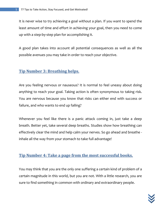It is never wise to try achieving a goal without a plan. If you want to spend the least amount of time and effort in achieving your goal, then you need to come up with a step-by-step plan for accomplishing it.

A good plan takes into account all potential consequences as well as all the possible avenues you may take in order to reach your objective.

#### **Tip Number 3: Breathing helps.**

Are you feeling nervous or nauseous? It is normal to feel uneasy about doing anything to reach your goal. Taking action is often synonymous to taking risk. You are nervous because you know that risks can either end with success or failure, and who wants to end up failing?

Whenever you feel like there is a panic attack coming in, just take a deep breath. Better yet, take several deep breaths. Studies show how breathing can effectively clear the mind and help calm your nerves. So go ahead and breathe inhale all the way from your stomach to take full advantage!

#### **Tip Number 4: Take a page from the most successful books.**

You may think that you are the only one suffering a certain kind of problem of a certain magnitude in this world, but you are not. With a little research, you are sure to find something in common with ordinary and extraordinary people.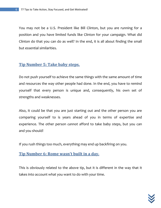You may not be a U.S. President like Bill Clinton, but you are running for a position and you have limited funds like Clinton for your campaign. What did Clinton do that you can do as well? In the end, it is all about finding the small but essential similarities.

#### **Tip Number 5: Take baby steps.**

Do not push yourself to achieve the same things with the same amount of time and resources the way other people had done. In the end, you have to remind yourself that every person is unique and, consequently, his own set of strengths and weaknesses.

Also, it could be that you are just starting out and the other person you are comparing yourself to is years ahead of you in terms of expertise and experience. The other person *cannot* afford to take baby steps, but you can and you should!

If you rush things too much, everything may end up backfiring on you.

#### **Tip Number 6: Rome wasn't built in a day.**

This is obviously related to the above tip, but it is different in the way that it takes into account what you want to do with your time.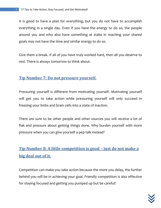It is good to have a plan for everything, but you do not have to accomplish everything in a single day. Even if you have the energy to do so, the people around you and who also have something at stake in reaching your shared goals may not have the time and similar energy to do so.

Give them a break. If all of you have truly worked hard, then all you deserve to rest. There is always tomorrow to think about.

#### **Tip Number 7: Do not pressure yourself.**

Pressuring yourself is different from motivating yourself. Motivating yourself will get you to take action while pressuring yourself will only succeed in freezing your limbs and brain cells into a state of inaction.

There are sure to be other people and other sources you will receive a lot of flak and pressure about getting things done. Why burden yourself with more pressure when you can give yourself a pep talk instead?

## **Tip Number 8: A little competition is good – just do not make a big deal out of it.**

Competition can make you take action because the more you delay, the further behind you will be in achieving your goal. Friendly competition is also effective for staying focused and getting you pumped up but be careful!

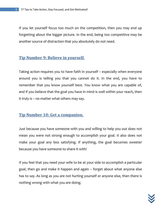If you let yourself focus too much on the competition, then you may end up forgetting about the bigger picture. In the end, being too competitive may be another source of distraction that you absolutely do not need.

#### **Tip Number 9: Believe in yourself.**

Taking action requires you to have faith in yourself – especially when everyone around you is telling you that you cannot do it. In the end, you have to remember that you know yourself best. You know what you are capable of, and if you believe that the goal you have in mind is well within your reach, then it truly is – no matter what others may say.

#### **Tip Number 10: Get a companion.**

Just because you have someone with you and willing to help you out does not mean you were not strong enough to accomplish your goal. It also does not make your goal any less satisfying. If anything, the goal becomes sweeter because you have someone to share it with!

If you feel that you need your wife to be at your side to accomplish a particular goal, then go and make it happen and again – forget about what anyone else has to say. As long as you are not hurting yourself or anyone else, then there is nothing wrong with what you are doing.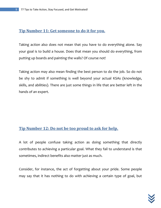#### **Tip Number 11: Get someone to do it for you.**

Taking action also does not mean that you have to do everything alone. Say your goal is to build a house. Does that mean you should do everything, from putting up boards and painting the walls? Of course not!

Taking action may also mean finding the best person to do the job. So do not be shy to admit if something is well beyond your actual KSAs (knowledge, skills, and abilities). There are just some things in life that are better left in the hands of an expert.

#### **Tip Number 12: Do not be too proud to ask for help.**

A lot of people confuse taking action as doing something that directly contributes to achieving a particular goal. What they fail to understand is that sometimes, indirect benefits also matter just as much.

Consider, for instance, the act of forgetting about your pride. Some people may say that it has nothing to do with achieving a certain type of goal, but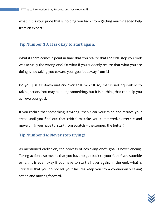what if it is your pride that is holding you back from getting much-needed help from an expert?

#### **Tip Number 13: It is okay to start again.**

What if there comes a point in time that you realize that the first step you took was actually the wrong one? Or what if you suddenly realize that what you are doing is not taking you toward your goal but away from it?

Do you just sit down and cry over spilt milk? If so, that is not equivalent to taking action. You may be doing something, but it is nothing that can help you achieve your goal.

If you realize that something is wrong, then clear your mind and retrace your steps until you find out that critical mistake you committed. Correct it and move on. If you have to, start from scratch – the sooner, the better!

#### **Tip Number 14: Never stop trying!**

As mentioned earlier on, the process of achieving one's goal is never ending. Taking action also means that you have to get back to your feet if you stumble or fall. It is even okay if you have to start all over again. In the end, what is critical is that you do not let your failures keep you from continuously taking action and moving forward.

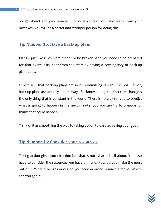So go ahead and pick yourself up, dust yourself off, and learn from your mistakes. You will be a better and stronger person for doing this!

#### **Tip Number 15: Have a back-up plan.**

Plans – just like rules – are meant to be broken. And you need to be prepared for that eventuality right from the start by having a contingency or back-up plan ready.

Others feel that back-up plans are akin to admitting failure. It is not. Rather, back-up plans are actually a mere way of acknowledging the fact that change is the only thing that is constant in the world. There is no way for you to predict what is going to happen in the next minute, but you *can* try to prepare for things that could happen.

Think of it as smoothing the way to taking action toward achieving your goal.

#### **Tip Number 16: Consider your resources.**

Taking action gives you direction but that is not what it is all about. You also have to consider the resources you have on hand. How do you make the most out of it? What other resources do you need in order to make a move? Where can you get it?

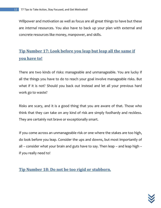Willpower and motivation as well as focus are all great things to have but these are *internal* resources. You also have to back up your plan with external and concrete resources like money, manpower, and skills.

# **Tip Number 17: Look before you leap but leap all the same if you have to!**

There are two kinds of risks: manageable and unmanageable. You are lucky if all the things you have to do to reach your goal involve manageable risks. But what if it is not? Should you back out instead and let all your previous hard work go to waste?

Risks are scary, and it is a good thing that you are aware of that. Those who think that they can take on any kind of risk are simply foolhardy and reckless. They are certainly not brave or exceptionally smart.

If you come across an unmanageable risk or one where the stakes are too high, do look before you leap. Consider the ups and downs, but most importantly of all – consider what your brain and guts have to say. Then leap – and leap high – if you really need to!

**Tip Number 18: Do not be too rigid or stubborn.**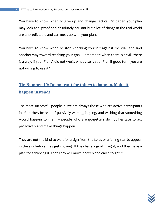You have to know when to give up and change tactics. On paper, your plan may look fool proof and absolutely brilliant but a lot of things in the real world are unpredictable and can mess up with your plan.

You have to know when to stop knocking yourself against the wall and find another way toward reaching your goal. Remember: when there is a will, there is a way. If your Plan A did not work, what else is your Plan B good for if you are not willing to use it?

# **Tip Number 19: Do not wait for things to happen. Make it happen instead!**

The most successful people in live are always those who are active participants in life rather. Instead of passively waiting, hoping, and wishing that something would happen to them – people who are go-getters do not hesitate to act proactively and make things happen.

They are not the kind to wait for a sign from the fates or a falling star to appear in the sky before they get moving. If they have a goal in sight, and they have a plan for achieving it, then they will move heaven and earth to get it.

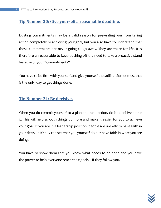#### **Tip Number 20: Give yourself a reasonable deadline.**

Existing commitments may be a valid reason for preventing you from taking action completely to achieving your goal, but you also have to understand that these commitments are never going to go away. They are there for life. It is therefore unreasonable to keep pushing off the need to take a proactive stand because of your "commitments".

You have to be firm with yourself and give yourself a deadline. Sometimes, that is the only way to get things done.

#### **Tip Number 21: Be decisive.**

When you do commit yourself to a plan and take action, do be decisive about it. This will help smooth things up more and make it easier for you to achieve your goal. If you are in a leadership position, people are unlikely to have faith in your decision if they can see that you yourself do not have faith in what you are doing.

You have to show them that you know what needs to be done and you have the power to help everyone reach their goals – if they follow you.

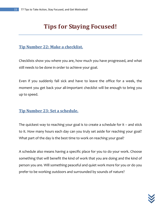# **Tips for Staying Focused!**

#### **Tip Number 22: Make a checklist.**

Checklists show you where you are, how much you have progressed, and what still needs to be done in order to achieve your goal.

Even if you suddenly fall sick and have to leave the office for a week, the moment you get back your all-important checklist will be enough to bring you up to speed.

#### **Tip Number 23: Set a schedule.**

The quickest way to reaching your goal is to create a schedule for it – and stick to it. How many hours each day can you truly set aside for reaching your goal? What part of the day is the best time to work on reaching your goal?

A schedule also means having a specific place for you to do your work. Choose something that will benefit the kind of work that you are doing and the kind of person you are. Will something peaceful and quiet work more for you or do you prefer to be working outdoors and surrounded by sounds of nature?

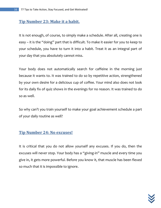#### **Tip Number 23: Make it a habit.**

It is not enough, of course, to simply make a schedule. After all, creating one is easy – it is the "doing" part that is difficult. To make it easier for you to keep to your schedule, you have to turn it into a habit. Treat it as an integral part of your day that you absolutely cannot miss.

Your body does not automatically search for caffeine in the morning just because it wants to. It was trained to do so by repetitive action, strengthened by your own desire for a delicious cup of coffee. Your mind also does not look for its daily fix of quiz shows in the evenings for no reason. It was trained to do so as well.

So why can't you train yourself to make your goal achievement schedule a part of your daily routine as well?

#### **Tip Number 24: No excuses!**

It is critical that you do not allow yourself any excuses. If you do, then the excuses will never stop. Your body has a "giving-in" muscle and every time you give in, it gets more powerful. Before you know it, that muscle has been flexed so much that it is impossible to ignore.

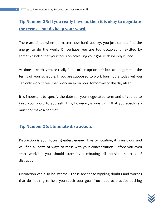## **Tip Number 25: If you really have to, then it is okay to negotiate the terms – but do keep your word.**

There are times when no matter how hard you try, you just cannot find the energy to do the work. Or perhaps you are too occupied or excited by something else that your focus on achieving your goal is absolutely ruined.

At times like this, there really is no other option left but to "negotiate" the terms of your schedule. If you are supposed to work four hours today yet you can only work three, then work an extra hour tomorrow or the day after.

It is important to specify the date for your negotiated term and of course to keep your word to yourself. This, however, is one thing that you absolutely must not make a habit of!

#### **Tip Number 26: Eliminate distraction.**

Distraction is your focus' greatest enemy. Like temptation, it is insidious and will find all sorts of ways to mess with your concentration. Before you even start working, you should start by eliminating all possible sources of distraction.

Distraction can also be internal. These are those niggling doubts and worries that do nothing to help you reach your goal. You need to practice pushing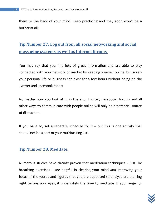them to the back of your mind. Keep practicing and they soon won't be a bother at all!

# **Tip Number 27: Log out from all social networking and social messaging systems as well as Internet forums**.

You may say that you find lots of great information and are able to stay connected with your network or market by keeping yourself online, but surely your personal life or business can exist for a few hours without being on the Twitter and Facebook radar?

No matter how you look at it, in the end, Twitter, Facebook, forums and all other ways to communicate with people online will only be a potential source of distraction.

If you have to, set a separate schedule for it  $-$  but this is one activity that should not be a part of your multitasking list.

#### **Tip Number 28: Meditate.**

Numerous studies have already proven that meditation techniques – just like breathing exercises – are helpful in clearing your mind *and* improving your focus. If the words and figures that you are supposed to analyse are blurring right before your eyes, it is definitely the time to meditate. If your anger or

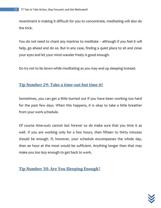resentment is making it difficult for you to concentrate, meditating will also do the trick.

You do not need to chant any mantras to meditate – although if you feel it will help, go ahead and do so. But in any case, finding a quiet place to sit and close your eyes and let your mind wander freely is good enough.

Do try *not* to lie down while meditating as you may end up sleeping instead.

#### **Tip Number 29: Take a time-out but time it!**

Sometimes, you can get a little burned out if you have been working too hard for the past few days. When this happens, it is okay to take a little breather from your work schedule.

Of course time-outs cannot last forever so do make sure that you time it as well. If you are working only for a few hours, then fifteen to thirty minutes should be enough. If, however, your schedule encompasses the whole day, then an hour at the most would be sufficient. Anything longer than that may make you too lazy enough to get back to work.

**Tip Number 30: Are You Sleeping Enough?**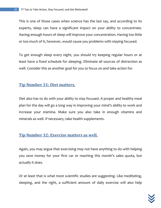This is one of those cases when science has the last say, and according to its experts, sleep can have a significant impact on your ability to concentrate. Having enough hours of sleep will improve your concentration. Having too little or too much of it, however, would cause you problems with staying focused.

To get enough sleep every night, you should try keeping regular hours or at least have a fixed schedule for sleeping. Eliminate all sources of distraction as well. Consider this as another goal for you to focus on and take action for.

#### **Tip Number 31: Diet matters.**

Diet also has to do with your ability to stay focused. A proper and healthy meal plan for the day will go a long way in improving your mind's ability to work and increase your stamina. Make sure you also take in enough vitamins and minerals as well. If necessary, take health supplements.

#### **Tip Number 32: Exercise matters as well.**

Again, you may argue that exercising may not have anything to do with helping you save money for your first car or reaching this month's sales quota, but actually it does.

Or at least that is what most scientific studies are suggesting. Like meditating, sleeping, and the right, a sufficient amount of daily exercise will also help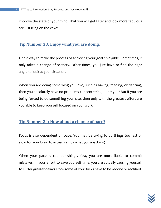improve the state of your mind. That you will get fitter and look more fabulous are just icing on the cake!

#### **Tip Number 33: Enjoy what you are doing.**

Find a way to make the process of achieving your goal enjoyable. Sometimes, it only takes a change of scenery. Other times, you just have to find the right angle to look at your situation.

When you are doing something you love, such as baking, reading, or dancing, then you absolutely have no problems concentrating, don't you? But if you are being forced to do something you hate, then only with the greatest effort are you able to keep yourself focused on your work.

#### **Tip Number 34: How about a change of pace?**

Focus is also dependent on pace. You may be trying to do things too fast or slow for your brain to actually *enjoy* what you are doing.

When your pace is too punishingly fast, you are more liable to commit mistakes. In your effort to save yourself time, you are actually causing yourself to suffer greater delays since some of your tasks have to be redone or rectified.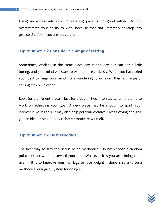Using an excessively slow or relaxing pace is no good either. Do not overestimate your ability to work because that can ultimately develop into procrastination if you are not careful.

#### **Tip Number 35: Consider a change of setting.**

Sometimes, working in the same place day in and day out can get a little boring, and your mind will start to wander – relentlessly. When you have tried your best to keep your mind from wandering to no avail, then a change of setting may be in order.

Look for a different place – just for a day or two – to stay when it is time to work on achieving your goal. A new place may be enough to spark your interest in your goals. It may also help get your creative juices flowing and give you an idea or two on how to better motivate yourself.

#### **Tip Number 36: Be methodical.**

The best way to stay focused is to be methodical. Do not choose a random point to start working toward your goal. Whatever it is you are aiming for – even if it is to improve your marriage or lose weight – there is sure to be a methodical or logical system for doing it.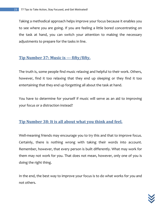Taking a methodical approach helps improve your focus because it enables you to see where you are going. If you are feeling a little bored concentrating on the task at hand, you can switch your attention to making the necessary adjustments to prepare for the tasks in line.

#### **Tip Number 37: Music is --- fifty/fifty.**

The truth is, some people find music relaxing and helpful to their work. Others, however, find it too relaxing that they end up sleeping or they find it too entertaining that they end up forgetting all about the task at hand.

You have to determine for yourself if music will serve as an aid to improving your focus or a distraction instead?

#### **Tip Number 38: It is all about what you think and feel.**

Well-meaning friends may encourage you to try this and that to improve focus. Certainly, there is nothing wrong with taking their words into account. Remember, however, that every person is built differently. What may work for them may not work for you. That does not mean, however, only one of you is doing the right thing.

In the end, the best way to improve your focus is to do what works for *you* and not others.

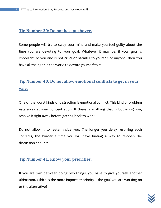#### **Tip Number 39: Do not be a pushover.**

Some people will try to sway your mind and make you feel guilty about the time you are devoting to your goal. Whatever it may be, if your goal is important to you and is not cruel or harmful to yourself or anyone, then you have all the right in the world to devote yourself to it.

# **Tip Number 40: Do not allow emotional conflicts to get in your way.**

One of the worst kinds of distraction is emotional conflict. This kind of problem eats away at your concentration. If there is anything that is bothering you, resolve it right away before getting back to work.

Do not allow it to fester inside you. The longer you delay resolving such conflicts, the harder a time you will have finding a way to re-open the discussion about it.

#### **Tip Number 41: Know your priorities.**

If you are torn between doing two things, you have to give yourself another ultimatum. Which is the more important priority – the goal you are working on or the alternative?

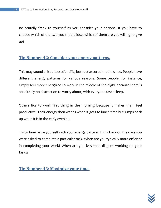Be brutally frank to yourself as you consider your options. If you have to choose which of the two you should lose, which of them are you willing to give up?

#### **Tip Number 42: Consider your energy patterns.**

This may sound a little too scientific, but rest assured that it is not. People have different energy patterns for various reasons. Some people, for instance, simply feel more energized to work in the middle of the night because there is absolutely no distraction to worry about, with everyone fast asleep.

Others like to work first thing in the morning because it makes them feel productive. Their energy then wanes when it gets to lunch time but jumps back up when it is in the early evening.

Try to familiarize yourself with your energy pattern. Think back on the days you were asked to complete a particular task. When are you typically more efficient in completing your work? When are you less than diligent working on your tasks?

**Tip Number 43: Maximize your time.**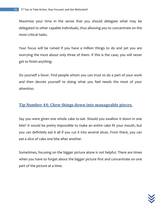Maximize your time in the sense that you should delegate what may be delegated to other capable individuals, thus allowing you to concentrate on the most critical tasks.

Your focus will be ruined if you have a million things to do and yet you are worrying the most about only three of them. If this is the case, you will never get to finish *anything.* 

Do yourself a favor. Find people whom you can trust to do a part of your work and then devote yourself to doing what you feel needs the most of your attention.

#### **Tip Number 44: Chew things down into manageable pieces.**

Say you were given one whole cake to eat. Should you swallow it down in one bite? It would be pretty impossible to make an entire cake fit your mouth, but you can definitely eat it all if you cut it into several slices. From there, you can eat a slice of cake one bite after another.

Sometimes, focusing on the bigger picture alone is not helpful. There are times when you have to forget about the bigger picture first and concentrate on one part of the picture at a time.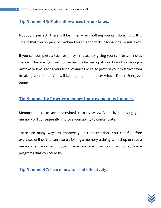#### **Tip Number 45: Make allowances for mistakes.**

Nobody is perfect. There will be times when nothing you can do is right. It is critical that you prepare beforehand for this and make allowances for mistakes.

If you can complete a task for thirty minutes, try giving yourself forty minutes instead. This way, you will not be terribly backed up if you do end up making a mistake or two. Giving yourself allowances will also prevent your mistakes from breaking your stride. You will keep going – no matter what – like an Energizer bunny!

#### **Tip Number 46: Practice memory improvement techniques.**

Memory and focus are intertwined in many ways. As such, improving your memory will consequently improve your ability to concentrate.

There are many ways to improve your concentration. You can find free exercises online. You can also try joining a memory training workshop or read a memory enhancement book. There are also memory training software programs that you could try.

**Tip Number 47: Learn how to read effectively.**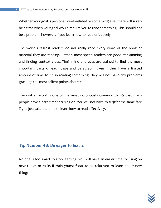Whether your goal is personal, work-related or something else, there will surely be a time when your goal would require you to read something. This should not be a problem, however, if you learn how to read effectively.

The world's fastest readers do not really read every word of the book or material they are reading. Rather, most speed readers are good at skimming and finding context clues. Their mind and eyes are trained to find the most important parts of each page and paragraph. Even if they have a limited amount of time to finish reading something, they will not have any problems grasping the most salient points about it.

The written word is one of the most notoriously common things that many people have a hard time focusing on. You will not have to su3ffer the same fate if you just take the time to learn how to read effectively.

#### **Tip Number 48: Be eager to learn***.*

No one is too smart to stop learning. You will have an easier time focusing on new topics or tasks if train yourself *not* to be reluctant to learn about new things.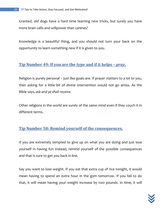Granted, old dogs have a hard time learning new tricks, but surely you have more brain cells and willpower than canines?

Knowledge is a beautiful thing, and you should not turn your back on the opportunity to learn something new if it is given to you.

#### **Tip Number 49: If you are the type and if it helps –** *pray***.**

Religion is purely personal – just like goals are. If prayer matters to a lot to you, then asking for a little bit of divine intervention would not go amiss. As the Bible says, *ask and ye shall receive.* 

Other religions in the world are surely of the same mind even if they couch it in different terms.

#### **Tip Number 50: Remind yourself of the consequences.**

If you are extremely tempted to give up on what you are doing and just lose yourself in having fun instead, remind yourself of the possible consequences and that is sure to get you back in line.

Say you want to lose weight. If you eat that extra cup of rice tonight, it would mean having to spend an extra hour in the gym tomorrow. If you fail to do that, it will mean having your weight increase by two pounds. In time, it will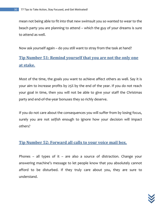mean not being able to fit into that new swimsuit you so wanted to wear to the beach party you are planning to attend – which the guy of your dreams is sure to attend as well.

Now ask yourself again – do you still want to stray from the task at hand?

### **Tip Number 51: Remind yourself that you are not the only one at stake.**

Most of the time, the goals you want to achieve affect others as well. Say it is your aim to increase profits by 25% by the end of the year. If you do not reach your goal in time, then you will not be able to give your staff the Christmas party and end-of-the-year bonuses they so richly deserve.

If you do not care about the consequences you will suffer from by losing focus, surely you are not *selfish* enough to ignore how your decision will impact others?

#### **Tip Number 52: Forward all calls to your voice mail box.**

Phones – all types of it – are also a source of distraction. Change your answering machine's message to let people know that you absolutely cannot afford to be disturbed. If they truly care about you, they are sure to understand.

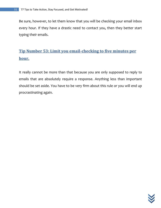Be sure, however, to let them know that you will be checking your email inbox every hour. If they have a drastic need to contact you, then they better start typing their emails.

# **Tip Number 53: Limit you email-checking to five minutes per hour.**

It really cannot be more than that because you are only supposed to reply to emails that are absolutely require a response. Anything less than important should be set aside. You have to be very firm about this rule or you will end up procrastinating again.

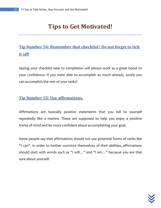# **Tips to Get Motivated!**

# **Tip Number 54: Remember that checklist? Do not forget to tick it off!**

Seeing your checklist near to completion will always work as a great boost to your confidence. If you were able to accomplish so much already, surely you can accomplish the rest of your tasks?

#### **Tip Number 55: Use affirmations.**

Affirmations are basically positive statements that you tell to yourself repeatedly like a mantra. These are supposed to help you enjoy a positive frame of mind and be more confident about accomplishing your goal.

Some people say that affirmations should not use potential forms of verbs like "I can". In order to further convince themselves of their abilities, affirmations should start with words such as "I will…" and "I am…" because you are *that*  sure about yourself.

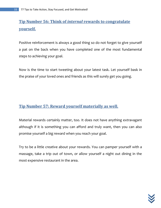# **Tip Number 56: Think of** *internal* **rewards to congratulate yourself.**

Positive reinforcement is always a good thing so do not forget to give yourself a pat on the back when you have completed one of the most fundamental steps to achieving your goal.

Now is the time to start tweeting about your latest task. Let yourself bask in the praise of your loved ones and friends as this will surely get you going.

#### **Tip Number 57: Reward yourself materially as well***.*

Material rewards certainly matter, too. It does not have anything extravagant although if it is something you can afford and truly want, then you can also promise yourself a big reward when you reach your goal.

Try to be a little creative about your rewards. You can pamper yourself with a massage, take a trip out of town, or allow yourself a night out dining in the most expensive restaurant in the area.

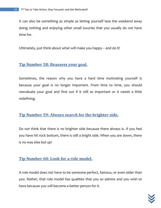It can also be something as simple as letting yourself laze the weekend away doing nothing and enjoying other small luxuries that you usually do not have time for.

Ultimately, just think about what will make you happy – and do it!

#### **Tip Number 58: Reassess your goal.**

Sometimes, the reason why you have a hard time motivating yourself is because your goal is no longer important. From time to time, you should reevaluate your goal and find out if it still as important or it needs a little redefining.

#### **Tip Number 59: Always search for the brighter side.**

Do not think that there is *no* brighter side because there always is. If you feel you have hit rock bottom, there is still a bright side. When you are down, there is no way else but *up!*

#### **Tip Number 60: Look for a role model.**

A role model does not have to be someone perfect, famous, or even older than you. Rather, that role model has qualities that you so admire and you wish to have because you will become a better person for it.

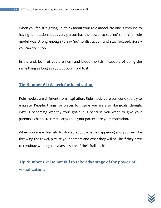When you feel like giving up, think about your role model. No one is immune to having temptations but every person has the power to say 'no' to it. Your role model was strong enough to say 'no' to distraction and stay focused. Surely you can do it, too?

In the end, both of you are flesh and blood mortals – capable of doing the same thing as long as you put your mind to it.

#### **Tip Number 61: Search for inspiration.**

Role models are different from inspiration. Role models are someone you try to emulate. People, things, or places to inspire you are also like goals, though. Why is becoming wealthy your goal? It is because you want to give your parents a chance to retire early. Then your parents are your inspiration.

When you are extremely frustrated about what is happening and you feel like throwing the towel, picture your parents and what they will be like if they have to continue working for years in spite of their frail health.

**Tip Number 62: Do not fail to take advantage of the power of visualization.**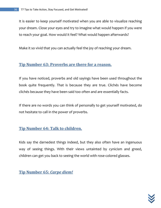It is easier to keep yourself motivated when you are able to visualize reaching your dream. Close your eyes and try to imagine what would happen if you were to reach your goal. How would it feel? What would happen afterwards?

Make it so vivid that you can actually feel the joy of reaching your dream.

#### **Tip Number 63: Proverbs are there for a reason.**

If you have noticed, proverbs and old sayings have been used throughout the book quite frequently. That is because they are true. Clichés have become clichés because they have been said too often and are essentially facts.

If there are no words you can think of personally to get yourself motivated, do not hesitate to call in the power of proverbs.

#### **Tip Number 64: Talk to children.**

Kids say the darnedest things indeed, but they also often have an ingenuous way of seeing things. With their views untainted by cynicism and greed, children can get you back to seeing the world with rose-colored glasses.

**Tip Number 65:** *Carpe diem!*

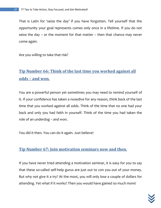That is Latin for 'seize the day' if you have forgotten. Tell yourself that the opportunity your goal represents comes only once in a lifetime. If you do not seize the day – or the moment for that matter – then that chance may never come again.

Are you willing to take that risk?

## **Tip Number 66: Think of the last time you worked against all odds – and won***.*

You are a powerful person yet sometimes you may need to remind yourself of it. If your confidence has taken a nosedive for any reason, think back of the last time that you worked against all odds. Think of the time that no one had your back and only you had faith in yourself. Think of the time you had taken the role of an underdog – and won.

You did it then. You can do it again. Just believe!

#### **Tip Number 67: Join motivation seminars now and then.**

If you have never tried attending a motivation seminar, it is easy for you to say that these so-called self-help gurus are just out to con you out of your money. But why not give it a try? At the most, you will only lose a couple of dollars for attending. Yet what if it works? Then you would have gained so much more!

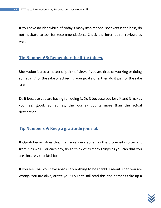If you have no idea which of today's many inspirational speakers is the best, do not hesitate to ask for recommendations. Check the Internet for reviews as well.

#### **Tip Number 68: Remember the little things.**

Motivation is also a matter of point of view. If you are tired of working or doing something for the sake of achieving your goal alone, then do it just for the sake of it.

Do it because you are having fun doing it. Do it because you love it and it makes you feel good. Sometimes, the journey counts more than the actual destination.

#### **Tip Number 69: Keep a gratitude journal.**

If Oprah herself does this, then surely everyone has the propensity to benefit from it as well? For each day, try to think of as many things as you can that you are sincerely thankful for.

If you feel that you have absolutely nothing to be thankful about, then you are wrong. You are alive, aren't you? You can still read this and perhaps take up a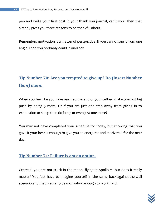pen and write your first post in your thank you journal, can't you? Then that already gives you three reasons to be thankful about.

Remember: motivation is a matter of perspective. If you cannot see it from one angle, then you probably could in another.

# **Tip Number 70: Are you tempted to give up? Do (Insert Number Here) more.**

When you feel like you have reached the end of your tether, make one last big push by doing 5 more. Or if you are just one step away from giving in to exhaustion or sleep then do just 3 or even just one more!

You may not have completed your schedule for today, but knowing that you gave it your best is enough to give you an energetic and motivated for the next day.

#### **Tip Number 71: Failure is** *not* **an option.**

Granted, you are not stuck in the moon, flying in Apollo 11, but does it really matter? You just have to imagine yourself in the same back-against-the-wall scenario and that is sure to be motivation enough to work hard.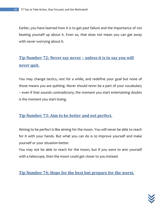Earlier, you have learned how it is to get past failure and the importance of *not*  beating yourself up about it. Even so, that does not mean you can get away with never worrying about it.

# **Tip Number 72: Never say never – unless it is to say you will**  *never <u>quit.</u>*

You may change tactics, rest for a while, and redefine your goal but none of those means you are quitting. Never should *never* be a part of your vocabulary – even if that sounds contradictory; the moment you start entertaining doubts is the moment you start losing.

#### **Tip Number 73: Aim to be** *better* **and not perfect.**

Aiming to be perfect is like aiming for the moon. You will never be able to reach for it with your hands. But what you can do is to improve yourself and make yourself or your situation better.

You may not be able to reach for the moon, but if you were to arm yourself with a telescope, then the moon could get closer to you instead.

**Tip Number 74: Hope for the best but prepare for the worst.**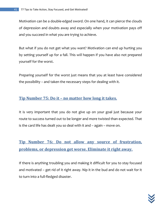Motivation can be a double-edged sword. On one hand, it can pierce the clouds of depression and doubts away and especially when your motivation pays off and you succeed in what you are trying to achieve.

But what if you do not get what you want? Motivation can end up hurting you by setting yourself up for a fall. This *will* happen if you have also not prepared yourself for the worst.

Preparing yourself for the worst just means that you at least have considered the possibility – and taken the necessary steps for dealing with it.

#### **Tip Number 75: Do it – no matter how long it takes.**

It is very important that you do not give up on your goal just because your route to success turned out to be longer and more twisted than expected. That is the card life has dealt you so deal with it and – again – move on.

**Tip Number 76: Do not allow any source of frustration, problems, or depression get worse. Eliminate it right away.**

If there is anything troubling you and making it difficult for you to stay focused and motivated – get rid of it right away. Nip it in the bud and do not wait for it to turn into a full-fledged disaster.

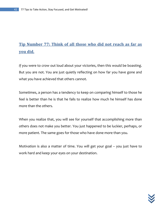# **Tip Number 77: Think of all those who did not reach as far as you did.**

If you were to crow out loud about your victories, then this would be boasting. But you are not. You are just quietly reflecting on how far you have gone and what you have achieved that others cannot.

Sometimes, a person has a tendency to keep on comparing himself to those he feel is better than he is that he fails to realize how much he himself has done more than the others.

When you realize that, you will see for yourself that accomplishing more than others does not make you better. You just happened to be luckier, perhaps, or more patient. The same goes for those who have done more than you.

Motivation is also a matter of time. You will get your goal – you just have to work hard and keep your eyes on your destination.